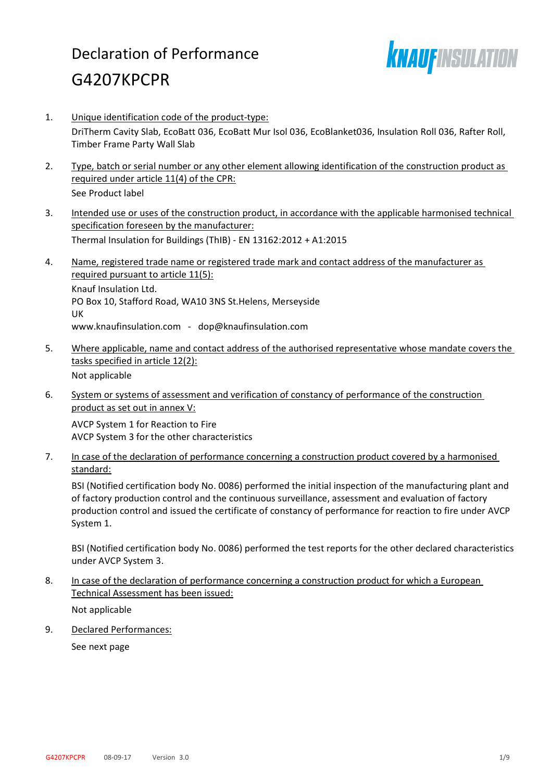# Declaration of Performance G4207KPCPR



- 1. Unique identification code of the product-type: DriTherm Cavity Slab, EcoBatt 036, EcoBatt Mur Isol 036, EcoBlanket036, Insulation Roll 036, Rafter Roll, Timber Frame Party Wall Slab
- 2. Type, batch or serial number or any other element allowing identification of the construction product as required under article 11(4) of the CPR: See Product label
- 3. Intended use or uses of the construction product, in accordance with the applicable harmonised technical specification foreseen by the manufacturer: Thermal Insulation for Buildings (ThIB) - EN 13162:2012 + A1:2015
- 4. Name, registered trade name or registered trade mark and contact address of the manufacturer as required pursuant to article 11(5): Knauf Insulation Ltd. PO Box 10, Stafford Road, WA10 3NS St.Helens, Merseyside UK www.knaufinsulation.com - dop@knaufinsulation.com
- 5. Where applicable, name and contact address of the authorised representative whose mandate covers the tasks specified in article 12(2): Not applicable
- 6. System or systems of assessment and verification of constancy of performance of the construction product as set out in annex V:

AVCP System 1 for Reaction to Fire AVCP System 3 for the other characteristics

7. In case of the declaration of performance concerning a construction product covered by a harmonised standard:

BSI (Notified certification body No. 0086) performed the initial inspection of the manufacturing plant and of factory production control and the continuous surveillance, assessment and evaluation of factory production control and issued the certificate of constancy of performance for reaction to fire under AVCP System 1.

BSI (Notified certification body No. 0086) performed the test reports for the other declared characteristics under AVCP System 3.

8. In case of the declaration of performance concerning a construction product for which a European Technical Assessment has been issued:

Not applicable

9. Declared Performances:

See next page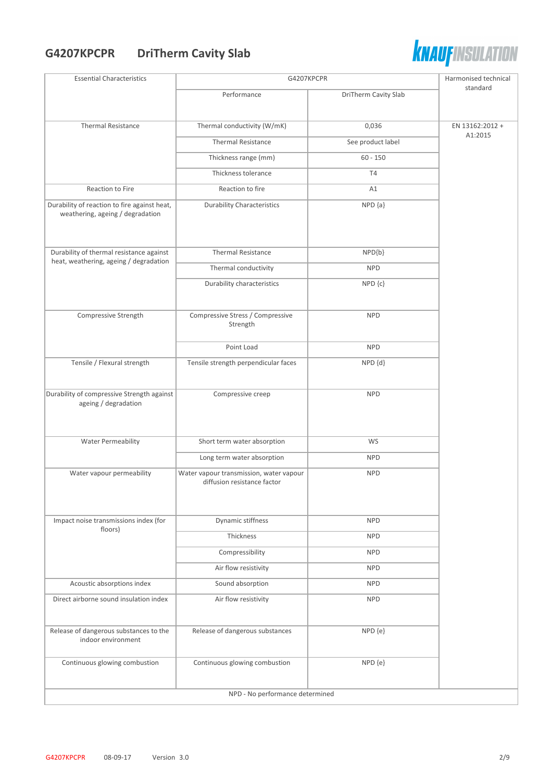# **G4207KPCPR DriTherm Cavity Slab**



| <b>Essential Characteristics</b>                                                 | G4207KPCPR                                                             |                      | Harmonised technical |
|----------------------------------------------------------------------------------|------------------------------------------------------------------------|----------------------|----------------------|
|                                                                                  | Performance                                                            | DriTherm Cavity Slab | standard             |
| <b>Thermal Resistance</b>                                                        | Thermal conductivity (W/mK)                                            | 0,036                | EN 13162:2012 +      |
|                                                                                  | <b>Thermal Resistance</b>                                              | See product label    | A1:2015              |
|                                                                                  | Thickness range (mm)                                                   | $60 - 150$           |                      |
|                                                                                  | Thickness tolerance                                                    | T <sub>4</sub>       |                      |
| Reaction to Fire                                                                 | Reaction to fire                                                       | A1                   |                      |
| Durability of reaction to fire against heat,<br>weathering, ageing / degradation | <b>Durability Characteristics</b>                                      | $NPD {a}$            |                      |
| Durability of thermal resistance against                                         | <b>Thermal Resistance</b>                                              | $NPD{b}$             |                      |
| heat, weathering, ageing / degradation                                           | Thermal conductivity                                                   | <b>NPD</b>           |                      |
|                                                                                  | Durability characteristics                                             | NPD {c}              |                      |
| Compressive Strength                                                             | Compressive Stress / Compressive<br>Strength                           | <b>NPD</b>           |                      |
|                                                                                  | Point Load                                                             | <b>NPD</b>           |                      |
| Tensile / Flexural strength                                                      | Tensile strength perpendicular faces                                   | NPD {d}              |                      |
| Durability of compressive Strength against<br>ageing / degradation               | Compressive creep                                                      | <b>NPD</b>           |                      |
| <b>Water Permeability</b>                                                        | Short term water absorption                                            | WS                   |                      |
|                                                                                  | Long term water absorption                                             | <b>NPD</b>           |                      |
| Water vapour permeability                                                        | Water vapour transmission, water vapour<br>diffusion resistance factor | <b>NPD</b>           |                      |
| Impact noise transmissions index (for<br>floors)                                 | Dynamic stiffness                                                      | <b>NPD</b>           |                      |
|                                                                                  | Thickness                                                              | <b>NPD</b>           |                      |
|                                                                                  | Compressibility                                                        | <b>NPD</b>           |                      |
|                                                                                  | Air flow resistivity                                                   | <b>NPD</b>           |                      |
| Acoustic absorptions index                                                       | Sound absorption                                                       | <b>NPD</b>           |                      |
| Direct airborne sound insulation index                                           | Air flow resistivity                                                   | <b>NPD</b>           |                      |
| Release of dangerous substances to the<br>indoor environment                     | Release of dangerous substances                                        | NPD {e}              |                      |
| Continuous glowing combustion                                                    | Continuous glowing combustion                                          | NPD {e}              |                      |
|                                                                                  | NPD - No performance determined                                        |                      |                      |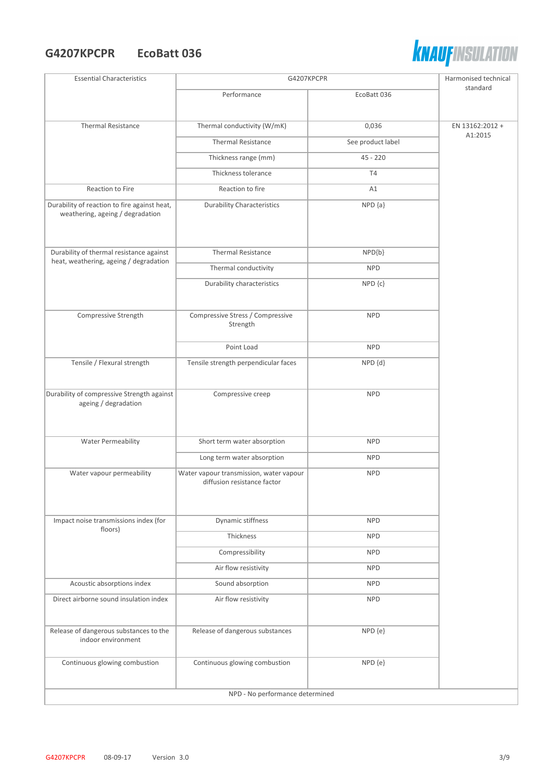#### **G4207KPCPR EcoBatt 036**



| <b>Essential Characteristics</b>                                                 | G4207KPCPR                                   |                   | Harmonised technical       |
|----------------------------------------------------------------------------------|----------------------------------------------|-------------------|----------------------------|
|                                                                                  | Performance                                  | EcoBatt 036       | standard                   |
|                                                                                  |                                              |                   |                            |
| <b>Thermal Resistance</b>                                                        | Thermal conductivity (W/mK)                  | 0,036             | EN 13162:2012 +<br>A1:2015 |
|                                                                                  | <b>Thermal Resistance</b>                    | See product label |                            |
|                                                                                  | Thickness range (mm)                         | $45 - 220$        |                            |
|                                                                                  | Thickness tolerance                          | T4                |                            |
| Reaction to Fire                                                                 | Reaction to fire                             | A1                |                            |
| Durability of reaction to fire against heat,<br>weathering, ageing / degradation | <b>Durability Characteristics</b>            | $NPD {a}$         |                            |
| Durability of thermal resistance against                                         | <b>Thermal Resistance</b>                    | NPD{b}            |                            |
| heat, weathering, ageing / degradation                                           | Thermal conductivity                         | <b>NPD</b>        |                            |
|                                                                                  | Durability characteristics                   | NPD {c}           |                            |
|                                                                                  |                                              |                   |                            |
| Compressive Strength                                                             | Compressive Stress / Compressive<br>Strength | <b>NPD</b>        |                            |
|                                                                                  | Point Load                                   | <b>NPD</b>        |                            |
| Tensile / Flexural strength                                                      | Tensile strength perpendicular faces         | NPD {d}           |                            |
| Durability of compressive Strength against                                       | Compressive creep                            | <b>NPD</b>        |                            |
| ageing / degradation                                                             |                                              |                   |                            |
|                                                                                  |                                              |                   |                            |
| <b>Water Permeability</b>                                                        | Short term water absorption                  | <b>NPD</b>        |                            |
|                                                                                  | Long term water absorption                   | <b>NPD</b>        |                            |
| Water vapour permeability                                                        | Water vapour transmission, water vapour      | <b>NPD</b>        |                            |
|                                                                                  | diffusion resistance factor                  |                   |                            |
|                                                                                  |                                              |                   |                            |
| Impact noise transmissions index (for                                            | Dynamic stiffness                            | <b>NPD</b>        |                            |
| floors)                                                                          | Thickness                                    | <b>NPD</b>        |                            |
|                                                                                  | Compressibility                              | <b>NPD</b>        |                            |
|                                                                                  | Air flow resistivity                         | <b>NPD</b>        |                            |
| Acoustic absorptions index                                                       | Sound absorption                             | <b>NPD</b>        |                            |
| Direct airborne sound insulation index                                           | Air flow resistivity                         | <b>NPD</b>        |                            |
|                                                                                  |                                              |                   |                            |
| Release of dangerous substances to the<br>indoor environment                     | Release of dangerous substances              | NPD {e}           |                            |
| Continuous glowing combustion                                                    | Continuous glowing combustion                | NPD {e}           |                            |
| NPD - No performance determined                                                  |                                              |                   |                            |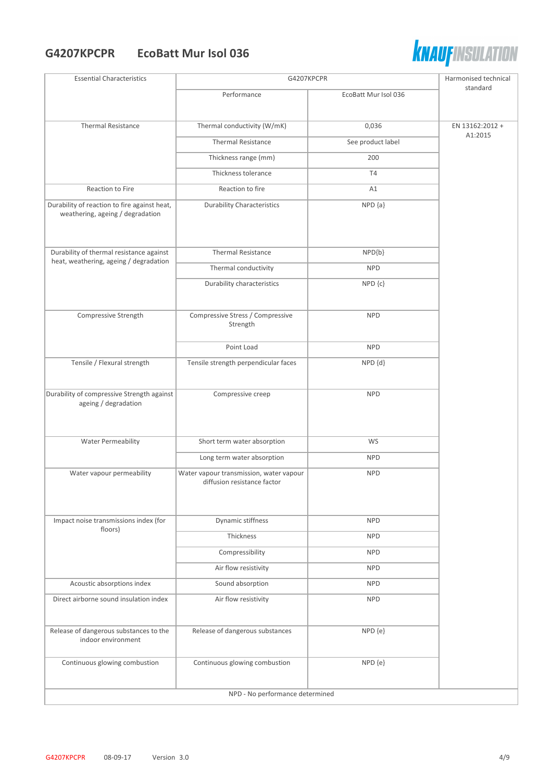#### **G4207KPCPR EcoBatt Mur Isol 036**



| <b>Essential Characteristics</b>                                                 | G4207KPCPR                                                             |                      | Harmonised technical       |
|----------------------------------------------------------------------------------|------------------------------------------------------------------------|----------------------|----------------------------|
|                                                                                  | Performance                                                            | EcoBatt Mur Isol 036 | standard                   |
|                                                                                  |                                                                        |                      |                            |
| <b>Thermal Resistance</b>                                                        | Thermal conductivity (W/mK)                                            | 0,036                | EN 13162:2012 +<br>A1:2015 |
|                                                                                  | <b>Thermal Resistance</b>                                              | See product label    |                            |
|                                                                                  | Thickness range (mm)                                                   | 200                  |                            |
|                                                                                  | Thickness tolerance                                                    | <b>T4</b>            |                            |
| Reaction to Fire                                                                 | Reaction to fire                                                       | A1                   |                            |
| Durability of reaction to fire against heat,<br>weathering, ageing / degradation | <b>Durability Characteristics</b>                                      | $NPD {a}$            |                            |
| Durability of thermal resistance against                                         | <b>Thermal Resistance</b>                                              | $NPD{b}$             |                            |
| heat, weathering, ageing / degradation                                           | Thermal conductivity                                                   | <b>NPD</b>           |                            |
|                                                                                  | Durability characteristics                                             | $NPD$ $\{c\}$        |                            |
| Compressive Strength                                                             | Compressive Stress / Compressive<br>Strength                           | <b>NPD</b>           |                            |
|                                                                                  | Point Load                                                             | <b>NPD</b>           |                            |
| Tensile / Flexural strength                                                      | Tensile strength perpendicular faces                                   | NPD {d}              |                            |
| Durability of compressive Strength against<br>ageing / degradation               | Compressive creep                                                      | <b>NPD</b>           |                            |
| <b>Water Permeability</b>                                                        | Short term water absorption                                            | WS                   |                            |
|                                                                                  | Long term water absorption                                             | <b>NPD</b>           |                            |
| Water vapour permeability                                                        | Water vapour transmission, water vapour<br>diffusion resistance factor | <b>NPD</b>           |                            |
| Impact noise transmissions index (for<br>floors)                                 | Dynamic stiffness                                                      | <b>NPD</b>           |                            |
|                                                                                  | Thickness                                                              | <b>NPD</b>           |                            |
|                                                                                  | Compressibility                                                        | <b>NPD</b>           |                            |
|                                                                                  | Air flow resistivity                                                   | <b>NPD</b>           |                            |
| Acoustic absorptions index                                                       | Sound absorption                                                       | <b>NPD</b>           |                            |
| Direct airborne sound insulation index                                           | Air flow resistivity                                                   | <b>NPD</b>           |                            |
| Release of dangerous substances to the<br>indoor environment                     | Release of dangerous substances                                        | NPD {e}              |                            |
| Continuous glowing combustion                                                    | Continuous glowing combustion                                          | NPD {e}              |                            |
|                                                                                  | NPD - No performance determined                                        |                      |                            |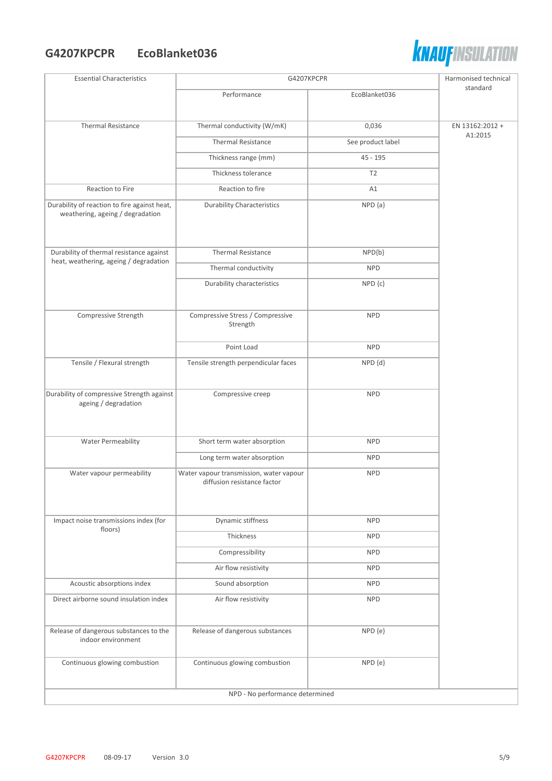## **G4207KPCPR EcoBlanket036**



| <b>Essential Characteristics</b>                                                 | G4207KPCPR                                                             |                   | Harmonised technical |
|----------------------------------------------------------------------------------|------------------------------------------------------------------------|-------------------|----------------------|
|                                                                                  | Performance                                                            | EcoBlanket036     | standard             |
|                                                                                  |                                                                        |                   |                      |
| <b>Thermal Resistance</b>                                                        | Thermal conductivity (W/mK)                                            | 0,036             | EN 13162:2012 +      |
|                                                                                  | <b>Thermal Resistance</b>                                              | See product label | A1:2015              |
|                                                                                  | Thickness range (mm)                                                   | $45 - 195$        |                      |
|                                                                                  | Thickness tolerance                                                    | T <sub>2</sub>    |                      |
| Reaction to Fire                                                                 | Reaction to fire                                                       | A1                |                      |
| Durability of reaction to fire against heat,<br>weathering, ageing / degradation | <b>Durability Characteristics</b>                                      | $NPD {a}$         |                      |
| Durability of thermal resistance against                                         | <b>Thermal Resistance</b>                                              | $NPD{b}$          |                      |
| heat, weathering, ageing / degradation                                           | Thermal conductivity                                                   | <b>NPD</b>        |                      |
|                                                                                  | Durability characteristics                                             | NPD {c}           |                      |
| Compressive Strength                                                             | Compressive Stress / Compressive<br>Strength                           | <b>NPD</b>        |                      |
|                                                                                  | Point Load                                                             | <b>NPD</b>        |                      |
| Tensile / Flexural strength                                                      | Tensile strength perpendicular faces                                   | NPD {d}           |                      |
| Durability of compressive Strength against<br>ageing / degradation               | Compressive creep                                                      | <b>NPD</b>        |                      |
| Water Permeability                                                               | Short term water absorption                                            | <b>NPD</b>        |                      |
|                                                                                  | Long term water absorption                                             | <b>NPD</b>        |                      |
| Water vapour permeability                                                        | Water vapour transmission, water vapour<br>diffusion resistance factor | <b>NPD</b>        |                      |
| Impact noise transmissions index (for                                            | Dynamic stiffness                                                      | <b>NPD</b>        |                      |
| floors)                                                                          | Thickness                                                              | <b>NPD</b>        |                      |
|                                                                                  | Compressibility                                                        | <b>NPD</b>        |                      |
|                                                                                  | Air flow resistivity                                                   | <b>NPD</b>        |                      |
| Acoustic absorptions index                                                       | Sound absorption                                                       | <b>NPD</b>        |                      |
| Direct airborne sound insulation index                                           | Air flow resistivity                                                   | <b>NPD</b>        |                      |
| Release of dangerous substances to the<br>indoor environment                     | Release of dangerous substances                                        | NPD {e}           |                      |
| Continuous glowing combustion                                                    | Continuous glowing combustion                                          | NPD {e}           |                      |
| NPD - No performance determined                                                  |                                                                        |                   |                      |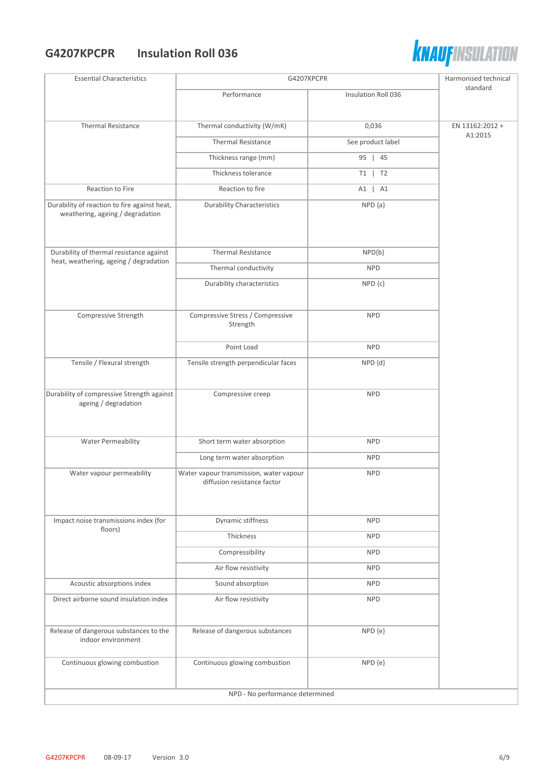#### **G4207KPCPR Insulation Roll 036**



| <b>Essential Characteristics</b>                                                 | G4207KPCPR                                                             |                     | Harmonised technical |
|----------------------------------------------------------------------------------|------------------------------------------------------------------------|---------------------|----------------------|
|                                                                                  | Performance                                                            | Insulation Roll 036 | standard             |
|                                                                                  |                                                                        |                     |                      |
| <b>Thermal Resistance</b>                                                        | Thermal conductivity (W/mK)                                            | 0,036               | EN 13162:2012 +      |
|                                                                                  | <b>Thermal Resistance</b>                                              | See product label   | A1:2015              |
|                                                                                  | Thickness range (mm)                                                   | 95   45             |                      |
|                                                                                  | Thickness tolerance                                                    | $T1$   T2           |                      |
| Reaction to Fire                                                                 | Reaction to fire                                                       | A1   A1             |                      |
| Durability of reaction to fire against heat,<br>weathering, ageing / degradation | <b>Durability Characteristics</b>                                      | $NPD {a}$           |                      |
| Durability of thermal resistance against                                         | <b>Thermal Resistance</b>                                              | $NPD{b}$            |                      |
| heat, weathering, ageing / degradation                                           | Thermal conductivity                                                   | <b>NPD</b>          |                      |
|                                                                                  | Durability characteristics                                             | $NPD$ $\{c\}$       |                      |
|                                                                                  |                                                                        |                     |                      |
| Compressive Strength                                                             | Compressive Stress / Compressive<br>Strength                           | <b>NPD</b>          |                      |
|                                                                                  | Point Load                                                             | <b>NPD</b>          |                      |
| Tensile / Flexural strength                                                      | Tensile strength perpendicular faces                                   | NPD {d}             |                      |
| Durability of compressive Strength against<br>ageing / degradation               | Compressive creep                                                      | <b>NPD</b>          |                      |
| <b>Water Permeability</b>                                                        | Short term water absorption                                            | <b>NPD</b>          |                      |
|                                                                                  | Long term water absorption                                             | <b>NPD</b>          |                      |
| Water vapour permeability                                                        | Water vapour transmission, water vapour<br>diffusion resistance factor | <b>NPD</b>          |                      |
| Impact noise transmissions index (for                                            | Dynamic stiffness                                                      | <b>NPD</b>          |                      |
| floors)                                                                          | Thickness                                                              | <b>NPD</b>          |                      |
|                                                                                  | Compressibility                                                        | <b>NPD</b>          |                      |
|                                                                                  | Air flow resistivity                                                   | <b>NPD</b>          |                      |
| Acoustic absorptions index                                                       | Sound absorption                                                       | <b>NPD</b>          |                      |
| Direct airborne sound insulation index                                           | Air flow resistivity                                                   | <b>NPD</b>          |                      |
| Release of dangerous substances to the<br>indoor environment                     | Release of dangerous substances                                        | NPD {e}             |                      |
| Continuous glowing combustion                                                    | Continuous glowing combustion                                          | NPD {e}             |                      |
|                                                                                  | NPD - No performance determined                                        |                     |                      |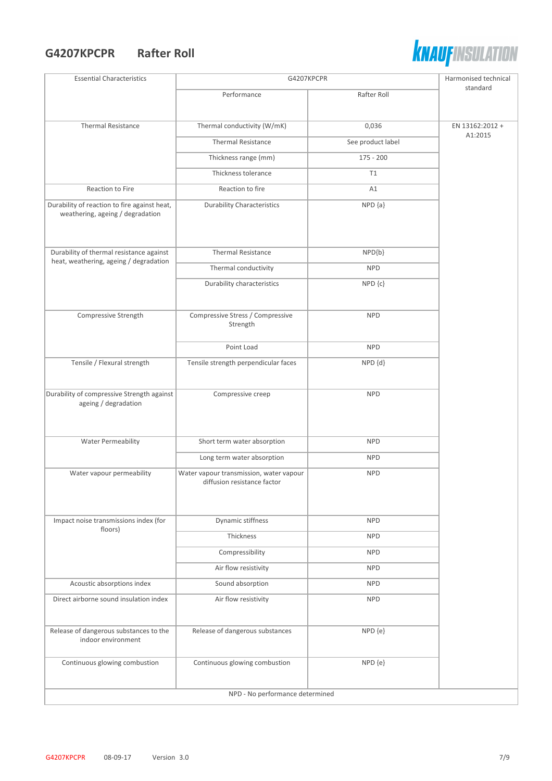## **G4207KPCPR Rafter Roll**



| <b>Essential Characteristics</b>                                                 | G4207KPCPR                                                             |                   | Harmonised technical |
|----------------------------------------------------------------------------------|------------------------------------------------------------------------|-------------------|----------------------|
|                                                                                  | Performance                                                            | Rafter Roll       | standard             |
|                                                                                  |                                                                        |                   |                      |
| <b>Thermal Resistance</b>                                                        | Thermal conductivity (W/mK)                                            | 0,036             | EN 13162:2012 +      |
|                                                                                  | <b>Thermal Resistance</b>                                              | See product label | A1:2015              |
|                                                                                  | Thickness range (mm)                                                   | $175 - 200$       |                      |
|                                                                                  | Thickness tolerance                                                    | T1                |                      |
| Reaction to Fire                                                                 | Reaction to fire                                                       | A1                |                      |
| Durability of reaction to fire against heat,<br>weathering, ageing / degradation | <b>Durability Characteristics</b>                                      | $NPD {a}$         |                      |
| Durability of thermal resistance against                                         | <b>Thermal Resistance</b>                                              | $NPD{b}$          |                      |
| heat, weathering, ageing / degradation                                           | Thermal conductivity                                                   | <b>NPD</b>        |                      |
|                                                                                  | Durability characteristics                                             | NPD {c}           |                      |
|                                                                                  |                                                                        |                   |                      |
| Compressive Strength                                                             | Compressive Stress / Compressive<br>Strength                           | <b>NPD</b>        |                      |
|                                                                                  | Point Load                                                             | <b>NPD</b>        |                      |
| Tensile / Flexural strength                                                      | Tensile strength perpendicular faces                                   | $NPD$ $\{d\}$     |                      |
| Durability of compressive Strength against<br>ageing / degradation               | Compressive creep                                                      | <b>NPD</b>        |                      |
| Water Permeability                                                               | Short term water absorption                                            | <b>NPD</b>        |                      |
|                                                                                  | Long term water absorption                                             | <b>NPD</b>        |                      |
| Water vapour permeability                                                        | Water vapour transmission, water vapour<br>diffusion resistance factor | <b>NPD</b>        |                      |
| Impact noise transmissions index (for                                            | Dynamic stiffness                                                      | <b>NPD</b>        |                      |
| floors)                                                                          | Thickness                                                              | <b>NPD</b>        |                      |
|                                                                                  | Compressibility                                                        | <b>NPD</b>        |                      |
|                                                                                  | Air flow resistivity                                                   | <b>NPD</b>        |                      |
| Acoustic absorptions index                                                       | Sound absorption                                                       | <b>NPD</b>        |                      |
| Direct airborne sound insulation index                                           | Air flow resistivity                                                   | <b>NPD</b>        |                      |
| Release of dangerous substances to the<br>indoor environment                     | Release of dangerous substances                                        | NPD {e}           |                      |
| Continuous glowing combustion                                                    | Continuous glowing combustion                                          | NPD {e}           |                      |
| NPD - No performance determined                                                  |                                                                        |                   |                      |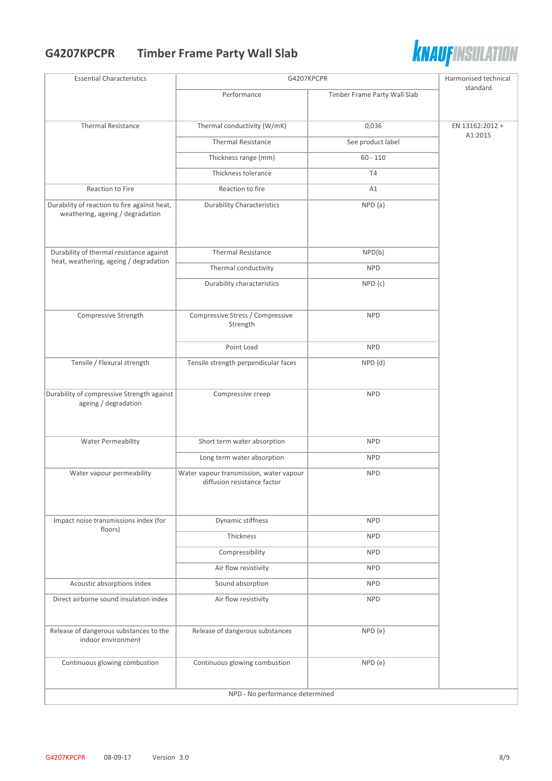# **G4207KPCPR Timber Frame Party Wall Slab**



| <b>Essential Characteristics</b>                                                 | G4207KPCPR                                                             |                              | Harmonised technical |
|----------------------------------------------------------------------------------|------------------------------------------------------------------------|------------------------------|----------------------|
|                                                                                  | Performance                                                            | Timber Frame Party Wall Slab | standard             |
| <b>Thermal Resistance</b>                                                        | Thermal conductivity (W/mK)                                            | 0,036                        | EN 13162:2012 +      |
|                                                                                  | <b>Thermal Resistance</b>                                              | See product label            | A1:2015              |
|                                                                                  | Thickness range (mm)                                                   | $60 - 110$                   |                      |
|                                                                                  | Thickness tolerance                                                    | <b>T4</b>                    |                      |
| Reaction to Fire                                                                 | Reaction to fire                                                       | A1                           |                      |
| Durability of reaction to fire against heat,<br>weathering, ageing / degradation | <b>Durability Characteristics</b>                                      | $NPD$ $\{a\}$                |                      |
| Durability of thermal resistance against                                         | <b>Thermal Resistance</b>                                              | NPD{b}                       |                      |
| heat, weathering, ageing / degradation                                           | Thermal conductivity                                                   | <b>NPD</b>                   |                      |
|                                                                                  | Durability characteristics                                             | NPD {c}                      |                      |
| Compressive Strength                                                             | Compressive Stress / Compressive<br>Strength                           | <b>NPD</b>                   |                      |
|                                                                                  | Point Load                                                             | <b>NPD</b>                   |                      |
| Tensile / Flexural strength                                                      | Tensile strength perpendicular faces                                   | NPD {d}                      |                      |
| Durability of compressive Strength against<br>ageing / degradation               | Compressive creep                                                      | <b>NPD</b>                   |                      |
| <b>Water Permeability</b>                                                        | Short term water absorption                                            | <b>NPD</b>                   |                      |
|                                                                                  | Long term water absorption                                             | <b>NPD</b>                   |                      |
| Water vapour permeability                                                        | Water vapour transmission, water vapour<br>diffusion resistance factor | <b>NPD</b>                   |                      |
| Impact noise transmissions index (for                                            | Dynamic stiffness                                                      | <b>NPD</b>                   |                      |
| floors)                                                                          | Thickness                                                              | <b>NPD</b>                   |                      |
|                                                                                  | Compressibility                                                        | <b>NPD</b>                   |                      |
|                                                                                  | Air flow resistivity                                                   | <b>NPD</b>                   |                      |
| Acoustic absorptions index                                                       | Sound absorption                                                       | <b>NPD</b>                   |                      |
| Direct airborne sound insulation index                                           | Air flow resistivity                                                   | <b>NPD</b>                   |                      |
| Release of dangerous substances to the<br>indoor environment                     | Release of dangerous substances                                        | NPD {e}                      |                      |
| Continuous glowing combustion                                                    | Continuous glowing combustion                                          | NPD {e}                      |                      |
| NPD - No performance determined                                                  |                                                                        |                              |                      |